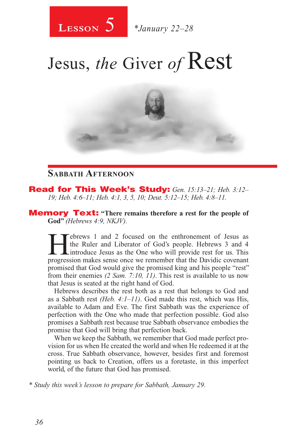

# Jesus, *the* Giver *of* Rest



#### **Sabbath Afternoon**

Read for This Week's Study: *Gen. 15:13–21; Heb. 3:12– 19; Heb. 4:6–11; Heb. 4:1, 3, 5, 10; Deut. 5:12–15; Heb. 4:8–11.*

Memory Text: **"There remains therefore a rest for the people of God"** *(Hebrews 4:9, NKJV).*

**Hebrews 1 and 2 focused on the enthronement of Jesus as** the Ruler and Liberator of God's people. Hebrews 3 and 4 introduce Jesus as the One who will provide rest for us. This progression makes sense once we remember that the Ruler and Liberator of God's people. Hebrews 3 and 4 Lintroduce Jesus as the One who will provide rest for us. This progression makes sense once we remember that the Davidic covenant promised that God would give the promised king and his people "rest" from their enemies *(2 Sam. 7:10, 11)*. This rest is available to us now that Jesus is seated at the right hand of God.

Hebrews describes the rest both as a rest that belongs to God and as a Sabbath rest *(Heb. 4:1–11)*. God made this rest, which was His, available to Adam and Eve. The first Sabbath was the experience of perfection with the One who made that perfection possible. God also promises a Sabbath rest because true Sabbath observance embodies the promise that God will bring that perfection back.

When we keep the Sabbath, we remember that God made perfect provision for us when He created the world and when He redeemed it at the cross. True Sabbath observance, however, besides first and foremost pointing us back to Creation, offers us a foretaste, in this imperfect world, of the future that God has promised.

*\* Study this week's lesson to prepare for Sabbath, January 29.*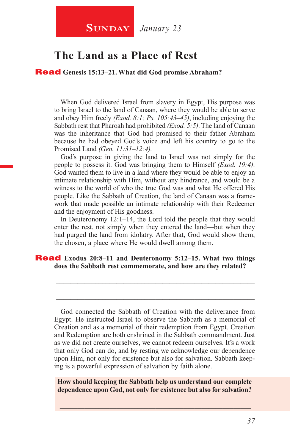#### **The Land as a Place of Rest**

Read **Genesis 15:13–21. What did God promise Abraham?**

When God delivered Israel from slavery in Egypt, His purpose was to bring Israel to the land of Canaan, where they would be able to serve and obey Him freely *(Exod. 8:1; Ps. 105:43–45)*, including enjoying the Sabbath rest that Pharoah had prohibited *(Exod. 5:5)*. The land of Canaan was the inheritance that God had promised to their father Abraham because he had obeyed God's voice and left his country to go to the Promised Land *(Gen. 11:31–12:4).*

\_\_\_\_\_\_\_\_\_\_\_\_\_\_\_\_\_\_\_\_\_\_\_\_\_\_\_\_\_\_\_\_\_\_\_\_\_\_\_\_\_\_\_\_\_\_\_\_\_\_\_\_\_\_\_\_

God's purpose in giving the land to Israel was not simply for the people to possess it. God was bringing them to Himself *(Exod. 19:4)*. God wanted them to live in a land where they would be able to enjoy an intimate relationship with Him, without any hindrance, and would be a witness to the world of who the true God was and what He offered His people. Like the Sabbath of Creation, the land of Canaan was a framework that made possible an intimate relationship with their Redeemer and the enjoyment of His goodness.

In Deuteronomy 12:1–14, the Lord told the people that they would enter the rest, not simply when they entered the land—but when they had purged the land from idolatry. After that, God would show them, the chosen, a place where He would dwell among them.

\_\_\_\_\_\_\_\_\_\_\_\_\_\_\_\_\_\_\_\_\_\_\_\_\_\_\_\_\_\_\_\_\_\_\_\_\_\_\_\_\_\_\_\_\_\_\_\_\_\_\_\_\_\_\_\_

\_\_\_\_\_\_\_\_\_\_\_\_\_\_\_\_\_\_\_\_\_\_\_\_\_\_\_\_\_\_\_\_\_\_\_\_\_\_\_\_\_\_\_\_\_\_\_\_\_\_\_\_\_\_\_\_

#### Read **Exodus 20:8–11 and Deuteronomy 5:12–15. What two things does the Sabbath rest commemorate, and how are they related?**

God connected the Sabbath of Creation with the deliverance from Egypt. He instructed Israel to observe the Sabbath as a memorial of Creation and as a memorial of their redemption from Egypt. Creation and Redemption are both enshrined in the Sabbath commandment. Just as we did not create ourselves, we cannot redeem ourselves. It's a work that only God can do, and by resting we acknowledge our dependence upon Him, not only for existence but also for salvation. Sabbath keeping is a powerful expression of salvation by faith alone.

**How should keeping the Sabbath help us understand our complete dependence upon God, not only for existence but also for salvation?**

\_\_\_\_\_\_\_\_\_\_\_\_\_\_\_\_\_\_\_\_\_\_\_\_\_\_\_\_\_\_\_\_\_\_\_\_\_\_\_\_\_\_\_\_\_\_\_\_\_\_\_\_\_\_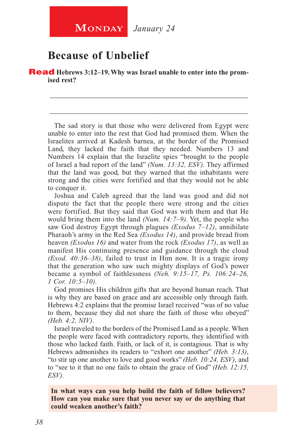## **Because of Unbelief**

**Read** Hebrews 3:12–19. Why was Israel unable to enter into the prom**ised rest?**

The sad story is that those who were delivered from Egypt were unable to enter into the rest that God had promised them. When the Israelites arrived at Kadesh barnea, at the border of the Promised Land, they lacked the faith that they needed. Numbers 13 and Numbers 14 explain that the Israelite spies "brought to the people of Israel a bad report of the land" *(Num. 13:32, ESV).* They affirmed that the land was good, but they warned that the inhabitants were strong and the cities were fortified and that they would not be able to conquer it.

\_\_\_\_\_\_\_\_\_\_\_\_\_\_\_\_\_\_\_\_\_\_\_\_\_\_\_\_\_\_\_\_\_\_\_\_\_\_\_\_\_\_\_\_\_\_\_\_\_\_\_\_\_\_\_\_

\_\_\_\_\_\_\_\_\_\_\_\_\_\_\_\_\_\_\_\_\_\_\_\_\_\_\_\_\_\_\_\_\_\_\_\_\_\_\_\_\_\_\_\_\_\_\_\_\_\_\_\_\_\_\_\_

Joshua and Caleb agreed that the land was good and did not dispute the fact that the people there were strong and the cities were fortified. But they said that God was with them and that He would bring them into the land *(Num. 14:7–9)*. Yet, the people who saw God destroy Egypt through plagues *(Exodus 7–12)*, annihilate Pharaoh's army in the Red Sea *(Exodus 14)*, and provide bread from heaven *(Exodus 16)* and water from the rock *(Exodus 17)*, as well as manifest His continuing presence and guidance through the cloud *(Exod. 40:36–38)*, failed to trust in Him now. It is a tragic irony that the generation who saw such mighty displays of God's power became a symbol of faithlessness *(Neh. 9:15–17, Ps. 106:24–26, 1 Cor. 10:5–10).*

God promises His children gifts that are beyond human reach. That is why they are based on grace and are accessible only through faith. Hebrews 4:2 explains that the promise Israel received "was of no value to them, because they did not share the faith of those who obeyed" *(Heb. 4:2, NIV)*.

Israel traveled to the borders of the Promised Land as a people. When the people were faced with contradictory reports, they identified with those who lacked faith. Faith, or lack of it, is contagious. That is why Hebrews admonishes its readers to "exhort one another" *(Heb. 3:13)*, "to stir up one another to love and good works" *(Heb. 10:24, ESV)*, and to "see to it that no one fails to obtain the grace of God" *(Heb. 12:15, ESV).*

**In what ways can you help build the faith of fellow believers? How can you make sure that you never say or do anything that could weaken another's faith?**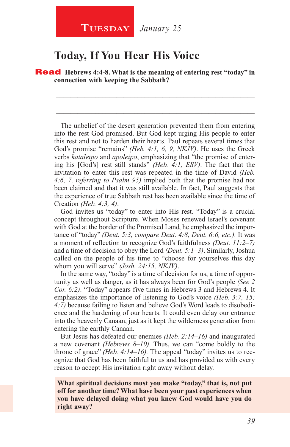#### **Today, If You Hear His Voice**

Read **Hebrews 4:4-8. What is the meaning of entering rest "today" in connection with keeping the Sabbath?**

\_\_\_\_\_\_\_\_\_\_\_\_\_\_\_\_\_\_\_\_\_\_\_\_\_\_\_\_\_\_\_\_\_\_\_\_\_\_\_\_\_\_\_\_\_\_\_\_\_\_\_\_\_\_\_\_

\_\_\_\_\_\_\_\_\_\_\_\_\_\_\_\_\_\_\_\_\_\_\_\_\_\_\_\_\_\_\_\_\_\_\_\_\_\_\_\_\_\_\_\_\_\_\_\_\_\_\_\_\_\_\_\_

The unbelief of the desert generation prevented them from entering into the rest God promised. But God kept urging His people to enter this rest and not to harden their hearts. Paul repeats several times that God's promise "remains" *(Heb. 4:1, 6, 9, NKJV)*. He uses the Greek verbs *kataleipō* and *apoleipō*, emphasizing that "the promise of entering his [God's] rest still stands" *(Heb. 4:1, ESV)*. The fact that the invitation to enter this rest was repeated in the time of David *(Heb. 4:6, 7, referring to Psalm 95)* implied both that the promise had not been claimed and that it was still available. In fact, Paul suggests that the experience of true Sabbath rest has been available since the time of Creation *(Heb. 4:3, 4)*.

God invites us "today" to enter into His rest. "Today" is a crucial concept throughout Scripture. When Moses renewed Israel's covenant with God at the border of the Promised Land, he emphasized the importance of "today" *(Deut. 5:3, compare Deut. 4:8, Deut. 6:6, etc.).* It was a moment of reflection to recognize God's faithfulness *(Deut. 11:2–7)*  and a time of decision to obey the Lord *(Deut. 5:1–3)*. Similarly, Joshua called on the people of his time to "choose for yourselves this day whom you will serve" *(Josh. 24:15, NKJV)*.

In the same way, "today" is a time of decision for us, a time of opportunity as well as danger, as it has always been for God's people *(See 2 Cor. 6:2)*. "Today" appears five times in Hebrews 3 and Hebrews 4. It emphasizes the importance of listening to God's voice *(Heb. 3:7, 15; 4:7)* because failing to listen and believe God's Word leads to disobedience and the hardening of our hearts. It could even delay our entrance into the heavenly Canaan, just as it kept the wilderness generation from entering the earthly Canaan.

But Jesus has defeated our enemies *(Heb. 2:14–16)* and inaugurated a new covenant *(Hebrews 8–10).* Thus, we can "come boldly to the throne of grace" *(Heb. 4:14–16).* The appeal "today" invites us to recognize that God has been faithful to us and has provided us with every reason to accept His invitation right away without delay.

**What spiritual decisions must you make "today," that is, not put off for another time? What have been your past experiences when you have delayed doing what you knew God would have you do right away?**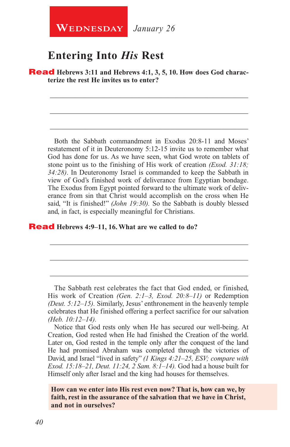**WEDNESDAY** January 26

## **Entering Into** *His* **Rest**

**Read** Hebrews 3:11 and Hebrews 4:1, 3, 5, 10. How does God charac**terize the rest He invites us to enter?**

\_\_\_\_\_\_\_\_\_\_\_\_\_\_\_\_\_\_\_\_\_\_\_\_\_\_\_\_\_\_\_\_\_\_\_\_\_\_\_\_\_\_\_\_\_\_\_\_\_\_\_\_\_\_\_\_

\_\_\_\_\_\_\_\_\_\_\_\_\_\_\_\_\_\_\_\_\_\_\_\_\_\_\_\_\_\_\_\_\_\_\_\_\_\_\_\_\_\_\_\_\_\_\_\_\_\_\_\_\_\_\_\_

\_\_\_\_\_\_\_\_\_\_\_\_\_\_\_\_\_\_\_\_\_\_\_\_\_\_\_\_\_\_\_\_\_\_\_\_\_\_\_\_\_\_\_\_\_\_\_\_\_\_\_\_\_\_\_\_

Both the Sabbath commandment in Exodus 20:8-11 and Moses' restatement of it in Deuteronomy 5:12-15 invite us to remember what God has done for us. As we have seen, what God wrote on tablets of stone point us to the finishing of His work of creation *(Exod. 31:18; 34:28)*. In Deuteronomy Israel is commanded to keep the Sabbath in view of God's finished work of deliverance from Egyptian bondage. The Exodus from Egypt pointed forward to the ultimate work of deliverance from sin that Christ would accomplish on the cross when He said, "It is finished!" *(John 19:30).* So the Sabbath is doubly blessed and, in fact, is especially meaningful for Christians.

#### Read **Hebrews 4:9–11, 16. What are we called to do?**

The Sabbath rest celebrates the fact that God ended, or finished, His work of Creation *(Gen. 2:1–3, Exod. 20:8–11)* or Redemption *(Deut. 5:12–15).* Similarly, Jesus' enthronement in the heavenly temple celebrates that He finished offering a perfect sacrifice for our salvation *(Heb. 10:12–14).*

\_\_\_\_\_\_\_\_\_\_\_\_\_\_\_\_\_\_\_\_\_\_\_\_\_\_\_\_\_\_\_\_\_\_\_\_\_\_\_\_\_\_\_\_\_\_\_\_\_\_\_\_\_\_\_\_

\_\_\_\_\_\_\_\_\_\_\_\_\_\_\_\_\_\_\_\_\_\_\_\_\_\_\_\_\_\_\_\_\_\_\_\_\_\_\_\_\_\_\_\_\_\_\_\_\_\_\_\_\_\_\_\_

\_\_\_\_\_\_\_\_\_\_\_\_\_\_\_\_\_\_\_\_\_\_\_\_\_\_\_\_\_\_\_\_\_\_\_\_\_\_\_\_\_\_\_\_\_\_\_\_\_\_\_\_\_\_\_\_

Notice that God rests only when He has secured our well-being. At Creation, God rested when He had finished the Creation of the world. Later on, God rested in the temple only after the conquest of the land He had promised Abraham was completed through the victories of David, and Israel "lived in safety" *(1 Kings 4:21–25, ESV; compare with Exod. 15:18–21, Deut. 11:24, 2 Sam. 8:1–14).* God had a house built for Himself only after Israel and the king had houses for themselves.

**How can we enter into His rest even now? That is, how can we, by faith, rest in the assurance of the salvation that we have in Christ, and not in ourselves?**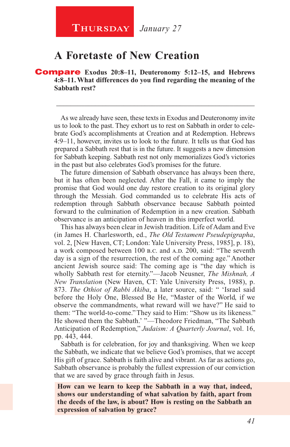**Thursday** *January 27*

## **A Foretaste of New Creation**

Compare **Exodus 20:8–11, Deuteronomy 5:12–15, and Hebrews 4:8–11. What differences do you find regarding the meaning of the Sabbath rest?**

As we already have seen, these texts in Exodus and Deuteronomy invite us to look to the past. They exhort us to rest on Sabbath in order to celebrate God's accomplishments at Creation and at Redemption. Hebrews 4:9–11, however, invites us to look to the future. It tells us that God has prepared a Sabbath rest that is in the future. It suggests a new dimension for Sabbath keeping. Sabbath rest not only memorializes God's victories in the past but also celebrates God's promises for the future.

\_\_\_\_\_\_\_\_\_\_\_\_\_\_\_\_\_\_\_\_\_\_\_\_\_\_\_\_\_\_\_\_\_\_\_\_\_\_\_\_\_\_\_\_\_\_\_\_\_\_\_\_\_\_\_\_

The future dimension of Sabbath observance has always been there, but it has often been neglected. After the Fall, it came to imply the promise that God would one day restore creation to its original glory through the Messiah. God commanded us to celebrate His acts of redemption through Sabbath observance because Sabbath pointed forward to the culmination of Redemption in a new creation. Sabbath observance is an anticipation of heaven in this imperfect world.

This has always been clear in Jewish tradition. Life of Adam and Eve (in James H. Charlesworth, ed., *The Old Testament Pseudepigrapha*, vol. 2, [New Haven, CT; London: Yale University Press, 1985], p. 18), a work composed between 100 b.c. and A.D. 200, said: "The seventh day is a sign of the resurrection, the rest of the coming age." Another ancient Jewish source said: The coming age is "the day which is wholly Sabbath rest for eternity."—Jacob Neusner, *The Mishnah, A New Translation* (New Haven, CT: Yale University Press, 1988), p. 873. *The Othiot of Rabbi Akiba*, a later source, said: " 'Israel said before the Holy One, Blessed Be He, "Master of the World, if we observe the commandments, what reward will we have?" He said to them: "The world-to-come." They said to Him: "Show us its likeness." He showed them the Sabbath.' "—Theodore Friedman, "The Sabbath Anticipation of Redemption," *Judaism: A Quarterly Journal*, vol. 16, pp. 443, 444.

Sabbath is for celebration, for joy and thanksgiving. When we keep the Sabbath, we indicate that we believe God's promises, that we accept His gift of grace. Sabbath is faith alive and vibrant. As far as actions go, Sabbath observance is probably the fullest expression of our conviction that we are saved by grace through faith in Jesus.

**How can we learn to keep the Sabbath in a way that, indeed, shows our understanding of what salvation by faith, apart from the deeds of the law, is about? How is resting on the Sabbath an expression of salvation by grace?**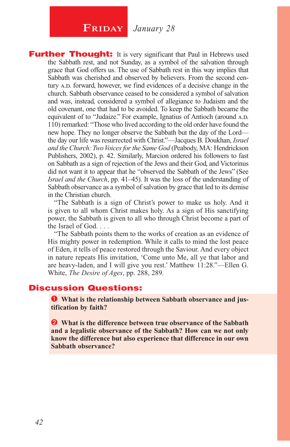## **FRIDAY** January 28

**Further Thought:** It is very significant that Paul in Hebrews used the Sabbath rest, and not Sunday, as a symbol of the salvation through grace that God offers us. The use of Sabbath rest in this way implies that Sabbath was cherished and observed by believers. From the second century A.D. forward, however, we find evidences of a decisive change in the church. Sabbath observance ceased to be considered a symbol of salvation and was, instead, considered a symbol of allegiance to Judaism and the old covenant, one that had to be avoided. To keep the Sabbath became the equivalent of to "Judaize." For example, Ignatius of Antioch (around A.D. 110) remarked: "Those who lived according to the old order have found the new hope. They no longer observe the Sabbath but the day of the Lord the day our life was resurrected with Christ."—Jacques B. Doukhan, *Israel and the Church: Two Voices for the Same God* (Peabody, MA: Hendrickson Publishers, 2002), p. 42. Similarly, Marcion ordered his followers to fast on Sabbath as a sign of rejection of the Jews and their God, and Victorinus did not want it to appear that he "observed the Sabbath of the Jews" (See *Israel and the Church*, pp. 41–45). It was the loss of the understanding of Sabbath observance as a symbol of salvation by grace that led to its demise in the Christian church.

"The Sabbath is a sign of Christ's power to make us holy. And it is given to all whom Christ makes holy. As a sign of His sanctifying power, the Sabbath is given to all who through Christ become a part of the Israel of God. . . .

"The Sabbath points them to the works of creation as an evidence of His mighty power in redemption. While it calls to mind the lost peace of Eden, it tells of peace restored through the Saviour. And every object in nature repeats His invitation, 'Come unto Me, all ye that labor and are heavy-laden, and I will give you rest.' Matthew 11:28."—Ellen G. White, *The Desire of Ages*, pp. 288, 289.

#### Discussion Questions:

 **What is the relationship between Sabbath observance and justification by faith?**

 **What is the difference between true observance of the Sabbath and a legalistic observance of the Sabbath? How can we not only know the difference but also experience that difference in our own Sabbath observance?**